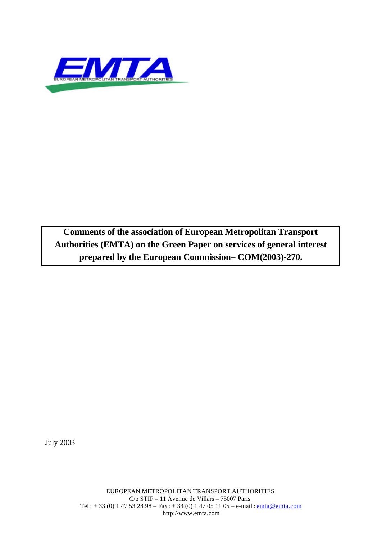

**Comments of the association of European Metropolitan Transport Authorities (EMTA) on the Green Paper on services of general interest prepared by the European Commission– COM(2003)-270.**

July 2003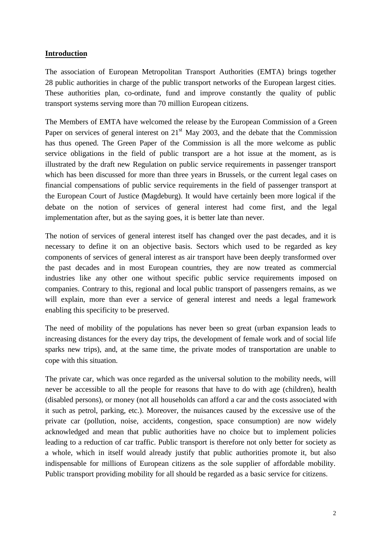#### **Introduction**

The association of European Metropolitan Transport Authorities (EMTA) brings together 28 public authorities in charge of the public transport networks of the European largest cities. These authorities plan, co-ordinate, fund and improve constantly the quality of public transport systems serving more than 70 million European citizens.

The Members of EMTA have welcomed the release by the European Commission of a Green Paper on services of general interest on  $21<sup>st</sup>$  May 2003, and the debate that the Commission has thus opened. The Green Paper of the Commission is all the more welcome as public service obligations in the field of public transport are a hot issue at the moment, as is illustrated by the draft new Regulation on public service requirements in passenger transport which has been discussed for more than three years in Brussels, or the current legal cases on financial compensations of public service requirements in the field of passenger transport at the European Court of Justice (Magdeburg). It would have certainly been more logical if the debate on the notion of services of general interest had come first, and the legal implementation after, but as the saying goes, it is better late than never.

The notion of services of general interest itself has changed over the past decades, and it is necessary to define it on an objective basis. Sectors which used to be regarded as key components of services of general interest as air transport have been deeply transformed over the past decades and in most European countries, they are now treated as commercial industries like any other one without specific public service requirements imposed on companies. Contrary to this, regional and local public transport of passengers remains, as we will explain, more than ever a service of general interest and needs a legal framework enabling this specificity to be preserved.

The need of mobility of the populations has never been so great (urban expansion leads to increasing distances for the every day trips, the development of female work and of social life sparks new trips), and, at the same time, the private modes of transportation are unable to cope with this situation.

The private car, which was once regarded as the universal solution to the mobility needs, will never be accessible to all the people for reasons that have to do with age (children), health (disabled persons), or money (not all households can afford a car and the costs associated with it such as petrol, parking, etc.). Moreover, the nuisances caused by the excessive use of the private car (pollution, noise, accidents, congestion, space consumption) are now widely acknowledged and mean that public authorities have no choice but to implement policies leading to a reduction of car traffic. Public transport is therefore not only better for society as a whole, which in itself would already justify that public authorities promote it, but also indispensable for millions of European citizens as the sole supplier of affordable mobility. Public transport providing mobility for all should be regarded as a basic service for citizens.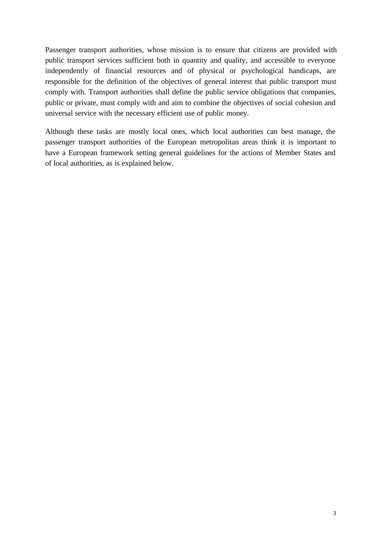Passenger transport authorities, whose mission is to ensure that citizens are provided with public transport services sufficient both in quantity and quality, and accessible to everyone independently of financial resources and of physical or psychological handicaps, are responsible for the definition of the objectives of general interest that public transport must comply with. Transport authorities shall define the public service obligations that companies, public or private, must comply with and aim to combine the objectives of social cohesion and universal service with the necessary efficient use of public money.

Although these tasks are mostly local ones, which local authorities can best manage, the passenger transport authorities of the European metropolitan areas think it is important to have a European framework setting general guidelines for the actions of Member States and of local authorities, as is explained below.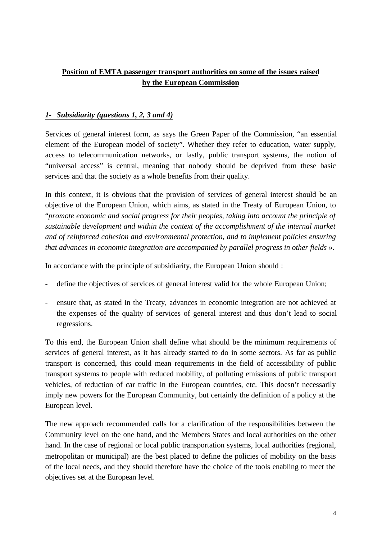## **Position of EMTA passenger transport authorities on some of the issues raised by the European Commission**

## *1- Subsidiarity (questions 1, 2, 3 and 4)*

Services of general interest form, as says the Green Paper of the Commission, "an essential element of the European model of society". Whether they refer to education, water supply, access to telecommunication networks, or lastly, public transport systems, the notion of "universal access" is central, meaning that nobody should be deprived from these basic services and that the society as a whole benefits from their quality.

In this context, it is obvious that the provision of services of general interest should be an objective of the European Union, which aims, as stated in the Treaty of European Union, to "*promote economic and social progress for their peoples, taking into account the principle of sustainable development and within the context of the accomplishment of the internal market and of reinforced cohesion and environmental protection, and to implement policies ensuring that advances in economic integration are accompanied by parallel progress in other fields* ».

In accordance with the principle of subsidiarity, the European Union should :

- define the objectives of services of general interest valid for the whole European Union;
- ensure that, as stated in the Treaty, advances in economic integration are not achieved at the expenses of the quality of services of general interest and thus don't lead to social regressions.

To this end, the European Union shall define what should be the minimum requirements of services of general interest, as it has already started to do in some sectors. As far as public transport is concerned, this could mean requirements in the field of accessibility of public transport systems to people with reduced mobility, of polluting emissions of public transport vehicles, of reduction of car traffic in the European countries, etc. This doesn't necessarily imply new powers for the European Community, but certainly the definition of a policy at the European level.

The new approach recommended calls for a clarification of the responsibilities between the Community level on the one hand, and the Members States and local authorities on the other hand. In the case of regional or local public transportation systems, local authorities (regional, metropolitan or municipal) are the best placed to define the policies of mobility on the basis of the local needs, and they should therefore have the choice of the tools enabling to meet the objectives set at the European level.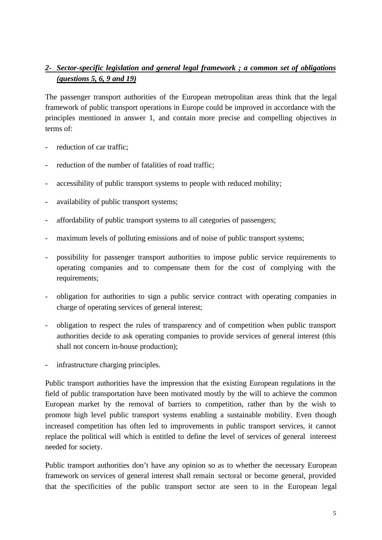# *2- Sector-specific legislation and general legal framework ; a common set of obligations (questions 5, 6, 9 and 19)*

The passenger transport authorities of the European metropolitan areas think that the legal framework of public transport operations in Europe could be improved in accordance with the principles mentioned in answer 1, and contain more precise and compelling objectives in terms of:

- reduction of car traffic;
- reduction of the number of fatalities of road traffic;
- accessibility of public transport systems to people with reduced mobility;
- availability of public transport systems;
- affordability of public transport systems to all categories of passengers;
- maximum levels of polluting emissions and of noise of public transport systems;
- possibility for passenger transport authorities to impose public service requirements to operating companies and to compensate them for the cost of complying with the requirements;
- obligation for authorities to sign a public service contract with operating companies in charge of operating services of general interest;
- obligation to respect the rules of transparency and of competition when public transport authorities decide to ask operating companies to provide services of general interest (this shall not concern in-house production);
- infrastructure charging principles.

Public transport authorities have the impression that the existing European regulations in the field of public transportation have been motivated mostly by the will to achieve the common European market by the removal of barriers to competition, rather than by the wish to promote high level public transport systems enabling a sustainable mobility. Even though increased competition has often led to improvements in public transport services, it cannot replace the political will which is entitled to define the level of services of general intereest needed for society.

Public transport authorities don't have any opinion so as to whether the necessary European framework on services of general interest shall remain sectoral or become general, provided that the specificities of the public transport sector are seen to in the European legal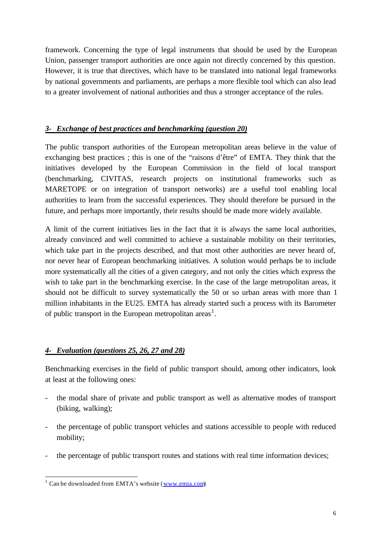framework. Concerning the type of legal instruments that should be used by the European Union, passenger transport authorities are once again not directly concerned by this question. However, it is true that directives, which have to be translated into national legal frameworks by national governments and parliaments, are perhaps a more flexible tool which can also lead to a greater involvement of national authorities and thus a stronger acceptance of the rules.

#### *3- Exchange of best practices and benchmarking (question 20)*

The public transport authorities of the European metropolitan areas believe in the value of exchanging best practices ; this is one of the "raisons d'être" of EMTA. They think that the initiatives developed by the European Commission in the field of local transport (benchmarking, CIVITAS, research projects on institutional frameworks such as MARETOPE or on integration of transport networks) are a useful tool enabling local authorities to learn from the successful experiences. They should therefore be pursued in the future, and perhaps more importantly, their results should be made more widely available.

A limit of the current initiatives lies in the fact that it is always the same local authorities, already convinced and well committed to achieve a sustainable mobility on their territories, which take part in the projects described, and that most other authorities are never heard of, nor never hear of European benchmarking initiatives. A solution would perhaps be to include more systematically all the cities of a given category, and not only the cities which express the wish to take part in the benchmarking exercise. In the case of the large metropolitan areas, it should not be difficult to survey systematically the 50 or so urban areas with more than 1 million inhabitants in the EU25. EMTA has already started such a process with its Barometer of public transport in the European metropolitan areas<sup>1</sup>.

## *4- Evaluation (questions 25, 26, 27 and 28)*

Benchmarking exercises in the field of public transport should, among other indicators, look at least at the following ones:

- the modal share of private and public transport as well as alternative modes of transport (biking, walking);
- the percentage of public transport vehicles and stations accessible to people with reduced mobility;
- the percentage of public transport routes and stations with real time information devices;

<sup>&</sup>lt;sup>1</sup> Can be downloaded from EMTA's website (www.emta.com)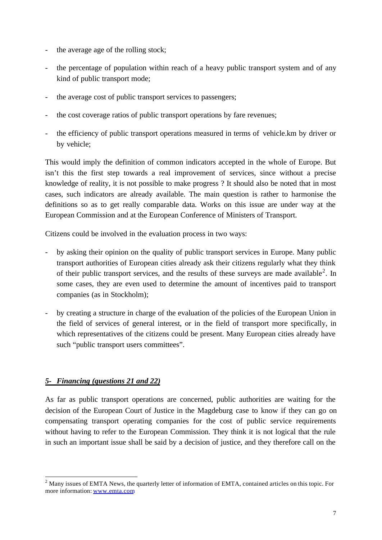- the average age of the rolling stock;
- the percentage of population within reach of a heavy public transport system and of any kind of public transport mode;
- the average cost of public transport services to passengers;
- the cost coverage ratios of public transport operations by fare revenues;
- the efficiency of public transport operations measured in terms of vehicle.km by driver or by vehicle;

This would imply the definition of common indicators accepted in the whole of Europe. But isn't this the first step towards a real improvement of services, since without a precise knowledge of reality, it is not possible to make progress ? It should also be noted that in most cases, such indicators are already available. The main question is rather to harmonise the definitions so as to get really comparable data. Works on this issue are under way at the European Commission and at the European Conference of Ministers of Transport.

Citizens could be involved in the evaluation process in two ways:

- by asking their opinion on the quality of public transport services in Europe. Many public transport authorities of European cities already ask their citizens regularly what they think of their public transport services, and the results of these surveys are made available<sup>2</sup>. In some cases, they are even used to determine the amount of incentives paid to transport companies (as in Stockholm);
- by creating a structure in charge of the evaluation of the policies of the European Union in the field of services of general interest, or in the field of transport more specifically, in which representatives of the citizens could be present. Many European cities already have such "public transport users committees".

#### *5- Financing (questions 21 and 22)*

l

As far as public transport operations are concerned, public authorities are waiting for the decision of the European Court of Justice in the Magdeburg case to know if they can go on compensating transport operating companies for the cost of public service requirements without having to refer to the European Commission. They think it is not logical that the rule in such an important issue shall be said by a decision of justice, and they therefore call on the

<sup>&</sup>lt;sup>2</sup> Many issues of EMTA News, the quarterly letter of information of EMTA, contained articles on this topic. For more information: www.emta.com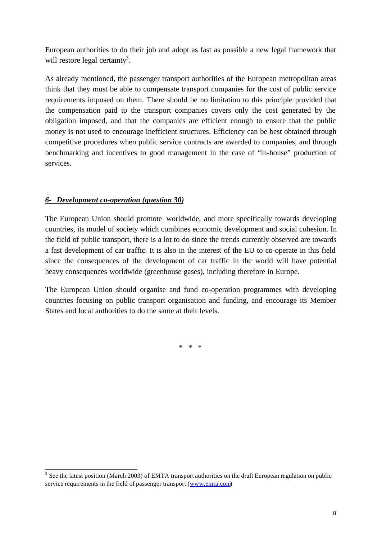European authorities to do their job and adopt as fast as possible a new legal framework that will restore legal certainty<sup>3</sup>.

As already mentioned, the passenger transport authorities of the European metropolitan areas think that they must be able to compensate transport companies for the cost of public service requirements imposed on them. There should be no limitation to this principle provided that the compensation paid to the transport companies covers only the cost generated by the obligation imposed, and that the companies are efficient enough to ensure that the public money is not used to encourage inefficient structures. Efficiency can be best obtained through competitive procedures when public service contracts are awarded to companies, and through benchmarking and incentives to good management in the case of "in-house" production of services.

## *6- Development co-operation (question 30)*

The European Union should promote worldwide, and more specifically towards developing countries, its model of society which combines economic development and social cohesion. In the field of public transport, there is a lot to do since the trends currently observed are towards a fast development of car traffic. It is also in the interest of the EU to co-operate in this field since the consequences of the development of car traffic in the world will have potential heavy consequences worldwide (greenhouse gases), including therefore in Europe.

The European Union should organise and fund co-operation programmes with developing countries focusing on public transport organisation and funding, and encourage its Member States and local authorities to do the same at their levels.

\* \* \*

<sup>&</sup>lt;sup>3</sup> See the latest position (March 2003) of EMTA transport authorities on the draft European regulation on public service requirements in the field of passenger transport (www.emta.com)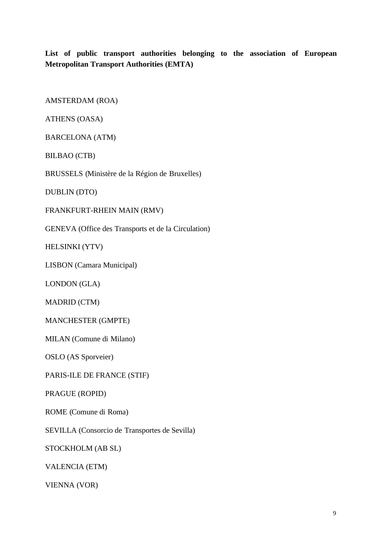**List of public transport authorities belonging to the association of European Metropolitan Transport Authorities (EMTA)**

AMSTERDAM (ROA)

ATHENS (OASA)

BARCELONA (ATM)

BILBAO (CTB)

BRUSSELS (Ministère de la Région de Bruxelles)

DUBLIN (DTO)

FRANKFURT-RHEIN MAIN (RMV)

GENEVA (Office des Transports et de la Circulation)

HELSINKI (YTV)

LISBON (Camara Municipal)

LONDON (GLA)

MADRID (CTM)

MANCHESTER (GMPTE)

MILAN (Comune di Milano)

OSLO (AS Sporveier)

PARIS-ILE DE FRANCE (STIF)

PRAGUE (ROPID)

ROME (Comune di Roma)

SEVILLA (Consorcio de Transportes de Sevilla)

STOCKHOLM (AB SL)

VALENCIA (ETM)

VIENNA (VOR)